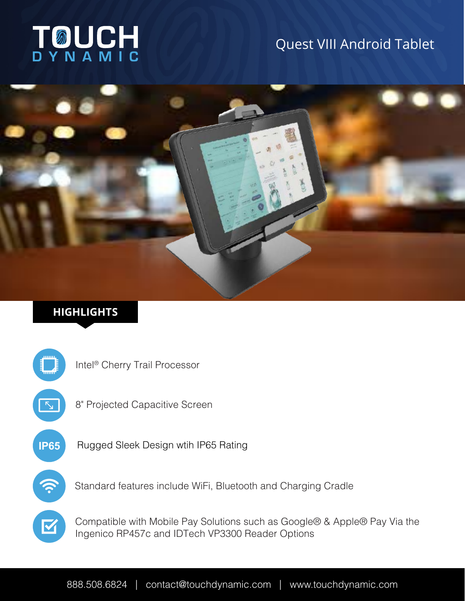# TOUCH

# Quest VIII Android Tablet



## **HIGHLIGHTS**



8" Projected Capacitive Screen

**IP65** Rugged Sleek Design wtih IP65 Rating

Standard features include WiFi, Bluetooth and Charging Cradle

Compatible with Mobile Pay Solutions such as Google® & Apple® Pay Via the Ingenico RP457c and IDTech VP3300 Reader Options